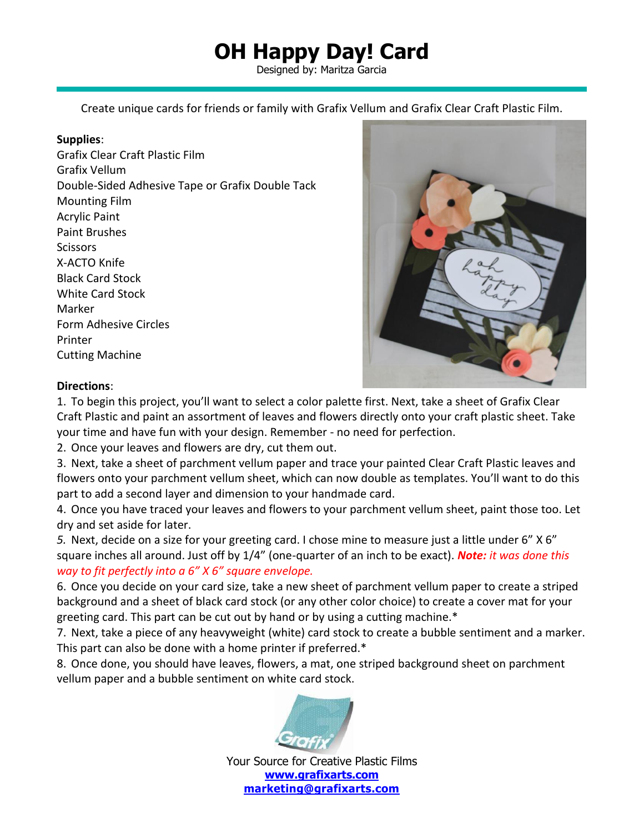## **OH Happy Day! Card**

Designed by: Maritza Garcia

Create unique cards for friends or family with Grafix Vellum and Grafix [Clear](https://www.amazon.com/Grafix-Craft-Plastic-Sheets-Pkg-Clear/dp/B0072CLKP8/ref=sr_1_11?keywords=Grafix+Clear+Craft+Plastic+Sheets&qid=1552318815&s=gateway&sr=8-11) Craft Plastic Film.

## **Supplies**:

Grafix Clear Craft Plastic Film Grafix Vellum Double-Sided Adhesive Tape or Grafix Double Tack Mounting Film Acrylic Paint Paint Brushes **Scissors** X-ACTO Knife Black Card Stock White Card Stock Marker Form Adhesive Circles Printer Cutting Machine



## **Directions**:

1. To begin this project, you'll want to select a color palette first. Next, take a sheet of Grafix Clear Craft Plastic and paint an assortment of leaves and flowers directly onto your craft plastic sheet. Take your time and have fun with your design. Remember - no need for perfection.

2. Once your leaves and flowers are dry, cut them out.

3. Next, take a sheet of parchment vellum paper and trace your painted Clear Craft Plastic leaves and flowers onto your parchment vellum sheet, which can now double as templates. You'll want to do this part to add a second layer and dimension to your handmade card.

4. Once you have traced your leaves and flowers to your parchment vellum sheet, paint those too. Let dry and set aside for later.

*5.* Next, decide on a size for your greeting card. I chose mine to measure just a little under 6" X 6" square inches all around. Just off by 1/4" (one-quarter of an inch to be exact). *Note: it was done this way to fit perfectly into a 6" X 6" square envelope.*

6. Once you decide on your card size, take a new sheet of parchment vellum paper to create a striped background and a sheet of black card stock (or any other color choice) to create a cover mat for your greeting card. This part can be cut out by hand or by using a cutting machine.\*

7. Next, take a piece of any heavyweight (white) card stock to create a bubble sentiment and a marker. This part can also be done with a home printer if preferred.\*

8. Once done, you should have leaves, flowers, a mat, one striped background sheet on parchment vellum paper and a bubble sentiment on white card stock.



Your Source for Creative Plastic Films **[www.grafixarts.com](http://www.grafixarts.com/) [marketing@grafixarts.com](mailto:marketing@grafixarts.com)**